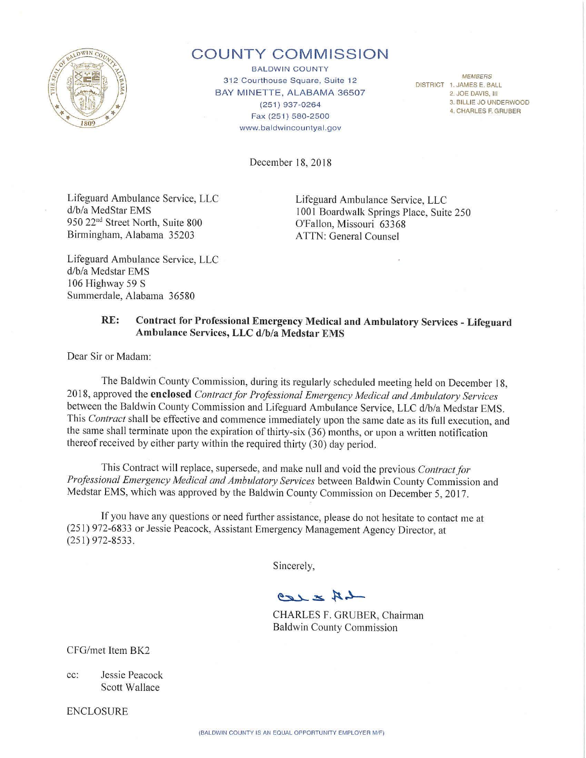

# **COUNTY COMMISSION**

**BALDWIN COUNTY** *MEMBERS*<br>312 Courthouse Square, Suite 12 BAY MINETTE, ALABAMA 36507 (251) 937-0264 Fax(251) 580-2500 www.baldwincountyal.gov

DISTRICT 1. JAMES E. BALL 2. JOE DAVIS, Ill 3. BILLIE JO UNDERWOOD 4. CHARLES F. GRUBER

December 18, 2018

Lifeguard Ambulance Service, LLC d/b/a MedStar EMS 950 22<sup>nd</sup> Street North, Suite 800 Birmingham, Alabama 35203

Lifeguard Ambulance Service, LLC 1001 Boardwalk Springs Place, Suite 250 O'Fallon, Missouri 63368 ATTN: General Counsel

Lifeguard Ambulance Service, LLC d/b/a Medstar EMS 106 Highway 59 S Summerdale, Alabama 36580

### **RE: Contract for Professional Emergency Medical and Ambulatory Services** - **Lifeguard Ambulance Services, LLC d/b/a Medstar EMS**

Dear Sir or Madam:

The Baldwin County Commission, during its regularly scheduled meeting held on December 18, 2018, approved the **enclosed** *Contract for Professional Emergency Medical and Ambulatory Services*  between the Baldwin County Commission and Lifeguard Ambulance Service, LLC d/b/a Medstar EMS. This *Contract* shall be effective and commence immediately upon the same date as its full execution, and the same shall terminate upon the expiration of thirty-six  $(36)$  months, or upon a written notification thereof received by either party within the required thirty (30) day period.

This Contract will replace, supersede, and make null and void the previous *Contract for Professional Emergency Medical and Ambulatory Services* between Baldwin County Commission and Medstar EMS, which was approved by the Baldwin County Commission on December 5, 2017.

If you have any questions or need further assistance, please do not hesitate to contact me at (251) 972-6833 or Jessie Peacock, Assistant Emergency Management Agency Director, at (251) 972-8533.

Sincerely,

 $-4K \geq \sqrt{22}$ 

CHARLES F. GRUBER, Chairman Baldwin County Commission

CFG/met Item BK2

cc: Jessie Peacock Scott Wallace

ENCLOSURE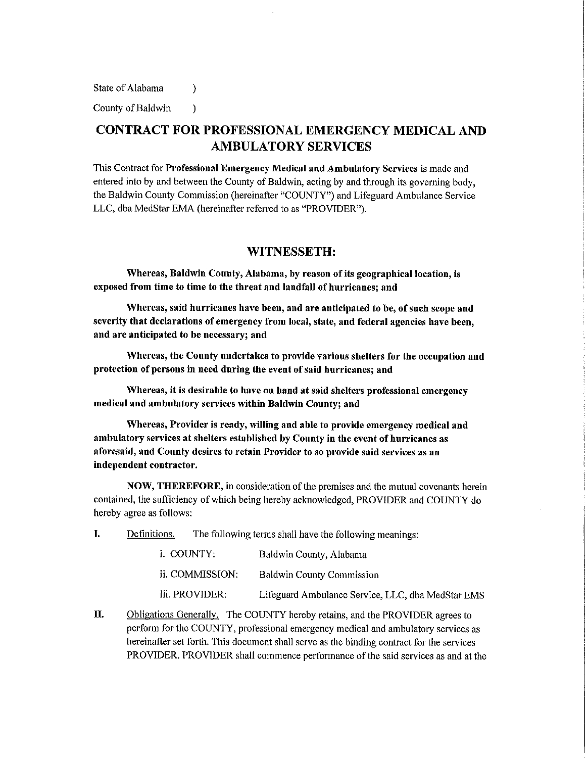State of Alabama (b)

County of Baldwin )

## **CONTRACT FOR PROFESSIONAL EMERGENCY MEDICAL AND AMBULATORY SERVICES**

This Contract for **Professional Emergency Medical and Ambulatory Services** is made and entered into by and between the County of Baldwin, acting by and through its governing body, the Baldwin County Commission (hereinafter "COUNTY") and Lifeguard Ambulance Service LLC, dba MedStar EMA (hereinafter referred to as "PROVIDER").

#### **WITNESSETH:**

**Whereas, Baldwin County, Alabama, by reason** of **its geographical location, is**  exposed from time to time to the threat and landfall of hurricanes; and

**Whereas, said hurricanes have been, and are anticipated to be, of snch scope and severity that declarations of emergency from local, state, and federal agencies have been, and are anticipated to be necessary; and** 

**Whereas, the Connty undertakes to provide varions shelters for the occnpation and protection** of **persons in need during the event of said hurricanes; and** 

**Whereas, it is desirable to have on hand at said shelters professional emergency medical and ambulatory services within Baldwin County; and** 

**Whereas, Provider is ready, willing and able to provide emergency medical and ambulatory services at shelters established by County in the event of hurricanes as aforesaid, and County desires to retain Provider** to **so provide said services as an independent contractor.** 

**NOW, THEREFORE,** in consideration of the premises and the mutual covenants herein contained, the sufficiency of which being hereby acknowledged, PROVIDER and COUNTY do hereby agree as follows:

I. Definitions. The following terms shall have the following meanings:

| i. COUNTY:      | Baldwin County, Alabama                           |
|-----------------|---------------------------------------------------|
| ii. COMMISSION: | <b>Baldwin County Commission</b>                  |
| iii. PROVIDER:  | Lifeguard Ambulance Service, LLC, dba MedStar EMS |

II. Obligations Generally. The COUNTY hereby retains, and the PROVIDER agrees to perform for the COUNTY, professional emergency medical and ambulatory services as hereinafter set forth. This document shall serve as the binding contract for the services PROVIDER. PROVIDER shall commence performance of the said services as and at the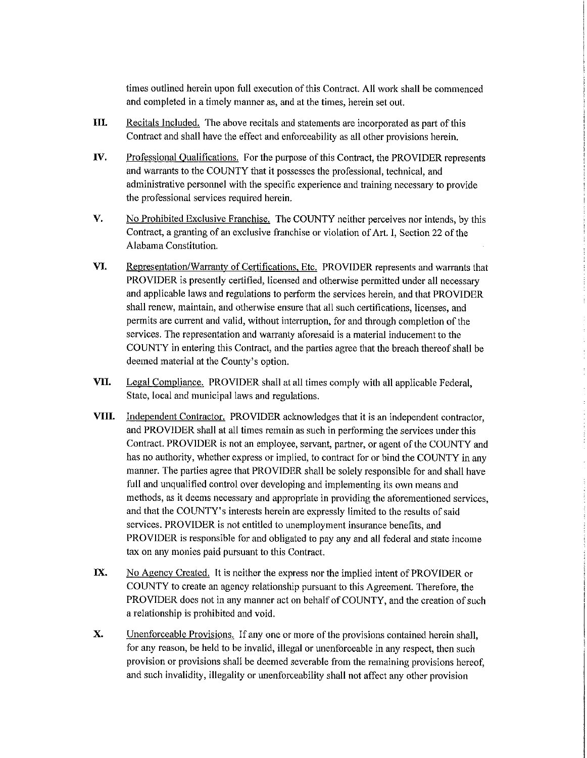times outlined herein upon full execution of this Contract. All work shall be commenced and completed in a timely manner as, and at the times, herein set out.

- **III.**  Recitals Included. The above recitals and statements are incorporated as part of this Contract and shall have the effect and enforceability as all other provisions herein.
- **IV.**  Professional Qualifications. For the purpose of this Contract, the PROVIDER represents and warrants to the COUNTY that it possesses the professional, technical, and administrative personnel with the specific experience and training necessary to provide the professional services required herein.
- **V.** No Prohibited Exclusive Franchise. The COUNTY neither perceives nor intends, by this Contract, a granting of an exclusive franchise or violation of Art. I, Section 22 of the Alabama Constitution.
- **VI.** Representation/Warranty of Certifications, Etc. PROVIDER represents and warrants that PROVIDER is presently certified, licensed and otherwise permitted under all necessary and applicable laws and regulations to perform the services herein, and that PROVIDER shall renew, maintain, and otherwise ensure that all such certifications, licenses, and permits are current and valid, without interruption, for and through completion of the services. The representation and warranty aforesaid is a material inducement to the COUNTY in entering this Contract, and the parties agree that the breach thereof shall be deemed material at the County's option.
- **VII.** Legal Compliance. PROVIDER shall at all times comply with all applicable Federal, State, local and municipal laws and regulations.
- **VIII.** Independent Contractor. PROVIDER acknowledges that it is an independent contractor, and PROVIDER shall at all times remain as such in performing the services under this Contract. PROVIDER is not an employee, servant, partner, or agent of the COUNTY and has no authority, whether express or implied, to contract for or bind the COUNTY in any manner. The parties agree that PROVIDER shall be solely responsible for and shall have full and unqualified control over developing and implementing its own means and methods, as it deems necessary and appropriate in providing the aforementioned services, and that the COUNTY's interests herein are expressly limited to the results of said services. PROVIDER is not entitled to unemployment insurance benefits, and PROVIDER is responsible for and obligated to pay any and all federal and state income tax on any monies paid pursuant to this Contract.
- **IX.**  No Agency Created. It is neither the express nor the implied intent of PROVIDER or COUNTY to create an agency relationship pursuant to this Agreement. Therefore, the PROVIDER does not in any manner act on behalf of COUNTY, and the creation of such a relationship is prohibited and void.
- **X.**  Unenforceable Provisions. If any one or more of the provisions contained herein shall, for any reason, be held to be invalid, illegal or unenforceable in any respect, then such provision or provisions shall be deemed severable from the remaining provisions hereof, and such invalidity, illegality or unenforceability shall not affect any other provision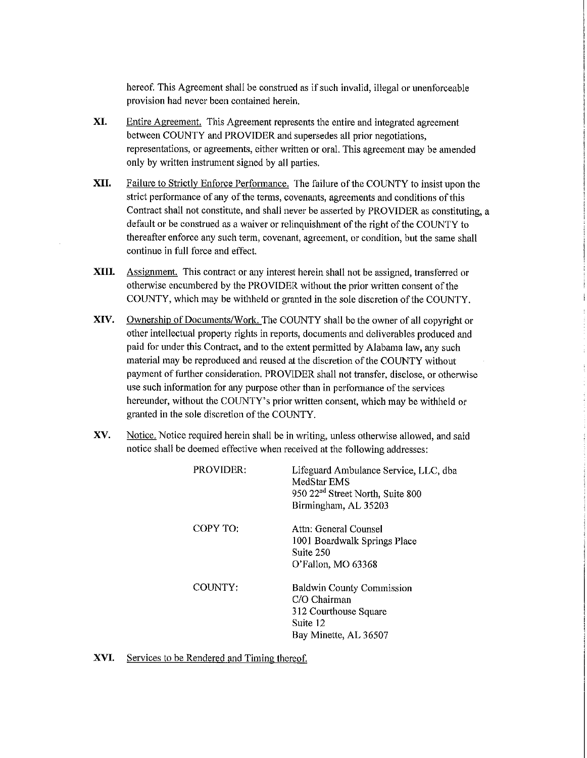hereof. This Agreement shall be construed as if such invalid, illegal or unenforceable provision had never been contained herein.

- **XI.**  Entire Agreement. This Agreement represents the entire and integrated agreement between COUNTY and PROVIDER and supersedes all prior negotiations, representations, or agreements, either written or oral. This agreement may be amended only by written instrument signed by all parties.
- **XII.** Failure to Strictly Enforce Performance. The failure of the COUNTY to insist upon the strict performance of any of the terms, covenants, agreements and conditions of this Contract shall not constitute, and shall never be asserted by PROVIDER as constituting, a default or be construed as a waiver or relinquishment of the right of the COUNTY to thereafter enforce any such term, covenant, agreement, or condition, but the same shall continue in full force and effect.
- **XIII.** Assignment. This contract or any interest herein shall not be assigned, transferred or otherwise encumbered by the PROVIDER without the prior written consent of the COUNTY, which may be withheld or granted in the sole discretion of the COUNTY.
- **XIV.** Ownership of Docrnnents/Work. The COUNTY shall be the owner of all copyright or other intellectual property rights in reports, documents and deliverables produced and paid for under this Contract, and to the extent permitted by Alabama law, any such material may be reproduced and reused at the discretion of the COUNTY without payment of further consideration. PROVIDER shall not transfer, disclose, or otherwise use such information for any purpose other than in performance of the services hereunder, without the COUNTY's prior written consent, which may be withheld or granted in the sole discretion of the COUNTY.
- **XV.** Notice. Notice required herein shall be in writing, unless otherwise allowed, and said notice shall be deemed effective when received at the following addresses:

| <b>PROVIDER:</b> | Lifeguard Ambulance Service, LLC, dba<br>MedStar EMS<br>950 22 <sup>nd</sup> Street North, Suite 800<br>Birmingham, AL 35203 |
|------------------|------------------------------------------------------------------------------------------------------------------------------|
| COPY TO:         | Attn: General Counsel<br>1001 Boardwalk Springs Place<br>Suite 250<br>O'Fallon, MO 63368                                     |
| COUNTY:          | <b>Baldwin County Commission</b><br>C/O Chairman<br>312 Courthouse Square<br>Suite 12<br>Bay Minette, AL 36507               |

**XVI.** Services to be Rendered and Timing thereof.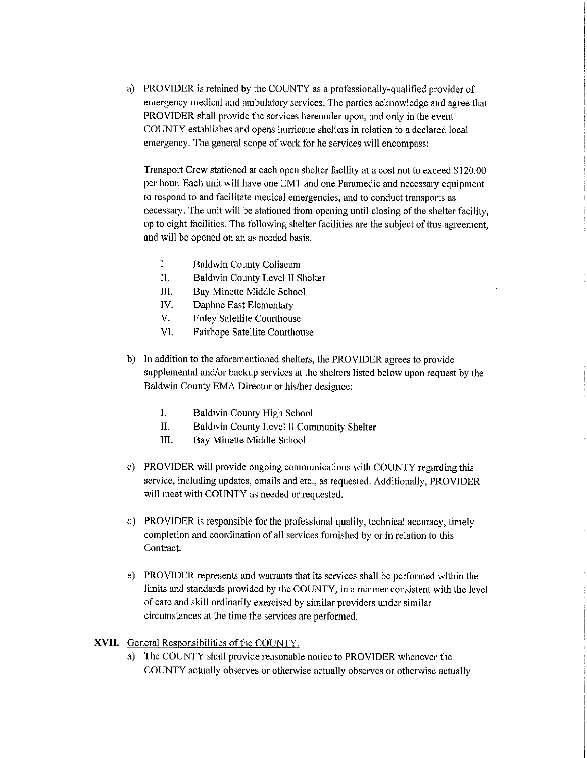a) PROVIDER is retained by the COUNTY as a professionally-qualified provider of emergency medical and ambulatory services. The parties acknowledge and agree that PROVIDER shall provide the services hereunder upon, and only in the event COUNTY establishes and opens hurricane shelters in relation to a declared local emergency. The general scope of work for he services will encompass:

Transport Crew stationed at each open shelter facility at a cost not to exceed \$120.00 per hour. Each unit will have one EMT and one Paramedic and necessary equipment to respond to and facilitate medical emergencies, and to conduct transports as necessary. The unit will be stationed from opening until closing of the shelter facility, up to eight facilities. The following shelter facilities are the subject of this agreement, and will be opened on an as needed basis.

- I. Baldwin County Coliseum
- II. Baldwin County Level II Shelter
- 111. Bay Minette Middle School
- IV. Daphne East Elementary
- V. Foley Satellite Courthouse
- VI. Fairhope Satellite Courthouse
- b) In addition to the aforementioned shelters, the PROVIDER agrees to provide supplemental and/or backup services at the shelters listed below upon request by the Baldwin County EMA Director or his/her designee:
	- I. Baldwin County High School
	- II. Baldwin County Level Il Community Shelter
	- III. Bay Minette Middle School
- c) PROVIDER will provide ongoing communications with COUNTY regarding this service, including updates, emails and etc., as requested. Additionally, PROVIDER will meet with COUNTY as needed or requested.
- d) PROVIDER is responsible for the professional quality, technical accuracy, timely completion and coordination of all services furnished by or in relation to this Contract.
- e) PROVIDER represents and warrants that its services shall be performed within the limits and standards provided by the COUNTY, in a manner consistent with the level of care and skill ordinarily exercised by similar providers under similar circumstances at the time the services are performed.

#### **XVII.** General Responsibilities of the COUNTY.

a) The COUNTY shall provide reasonable notice to PROVIDER whenever the COUNTY actually observes or otherwise actually observes or otherwise actually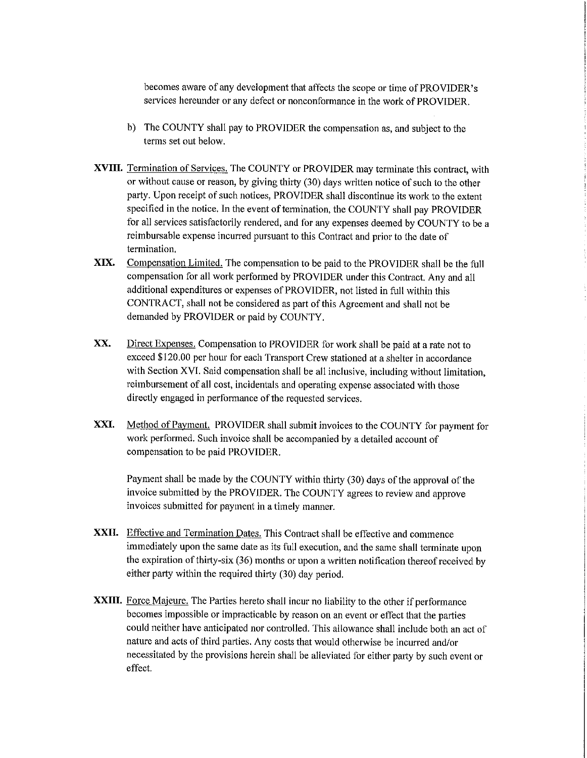becomes aware of any development that affects the scope or time of PROVIDER's services hereunder or any defect or nonconformance in the work of PROVIDER.

- b) The COUNTY shall pay to PROVIDER the compensation as, and subject to the terms set out below.
- **XVIII.** Termination of Services. The COUNTY or PROVIDER may terminate this contract, with or without cause or reason, by giving thirty (30) days written notice of such to the other party. Upon receipt of such notices, PROVIDER shall discontinue its work to the extent specified in the notice. In the event of termination, the COUNTY shall pay PROVIDER for all services satisfactorily rendered, and for any expenses deemed by COUNTY to be a reimbursable expense incurred pursuant to this Contract and prior to the date of termination.
- **XIX.** Compensation Limited. The compensation to be paid to the PROVIDER shall be the full compensation for all work performed by PROVIDER under this Contract. Any and all additional expenditures or expenses of PROVIDER, not listed in full within this CONTRACT, shall not be considered as part of this Agreement and shall not be demanded by PROVIDER or paid by COUNTY.
- **XX.** Direct Expenses. Compensation to PROVIDER for work shall be paid at a rate not to exceed \$120.00 per hour for each Transport Crew stationed at a shelter in accordance with Section XVI. Said compensation shall be all inclusive, including without limitation, reimbursement of all cost, incidentals and operating expense associated with those directly engaged in performance of the requested services.
- **XXI.** Method of Payment. PROVIDER shall submit invoices to the COUNTY for payment for work performed. Such invoice shall be accompanied by a detailed account of compensation to be paid PROVIDER.

Payment shall be made by the COUNTY within thirty (30) days of the approval of the invoice submitted by the PROVIDER. The COUNTY agrees to review and approve invoices submitted for payment in a timely manner.

- **XXII.** Effective and Termination Dates. This Contract shall be effective and commence immediately upon the same date as its full execution, and the same shall terminate upon the expiration of thirty-six (36) months or upon a written notification thereof received by either party within the required thirty (30) day period.
- XXIII. Force Majeure. The Parties hereto shall incur no liability to the other if performance becomes impossible or impracticable by reason on an event or effect that the parties could neither have anticipated nor controlled. This allowance shall include both an act of nature and acts of third parties. Any costs that would otherwise be incurred and/or necessitated by the provisions herein shall be alleviated for either patty by such event or effect.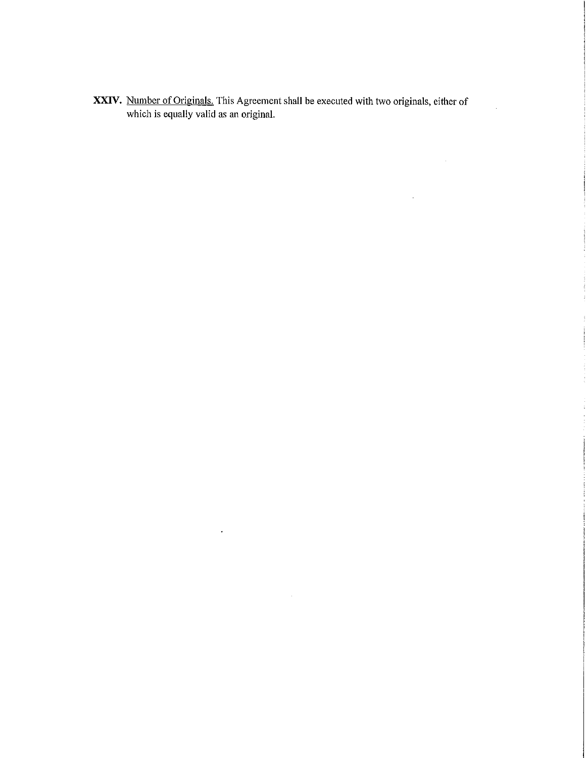**XXIV.** Number of Originals. This Agreement shall be executed with two originals, either of which is equally valid as an original.

 $\ddot{\phantom{0}}$ 

 $\overline{a}$ 

 $\Delta\phi$  .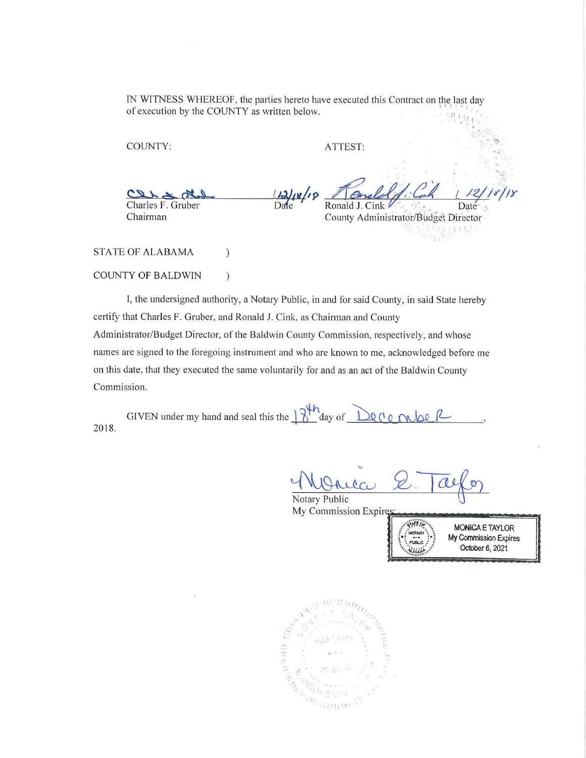IN WITNESS WHEREOF, the parties hereto have executed this Contract on the last day of execution by the COUNTY as written below.  $\frac{1}{1 + \frac{1}{1 + \frac{1}{1 + \frac{1}{1 + \frac{1}{1 + \frac{1}{1 + \frac{1}{1 + \frac{1}{1 + \frac{1}{1 + \frac{1}{1 + \frac{1}{1 + \frac{1}{1 + \frac{1}{1 + \frac{1}{1 + \frac{1}{1 + \frac{1}{1 + \frac{1}{1 + \frac{1}{1 + \frac{1}{1 + \frac{1}{1 + \frac{1}{1 + \frac{1}{1 + \frac{1}{1 + \frac{1}{1 + \frac{1}{1 + \frac{1}{1 + \frac{1}{1 + \frac{1}{1 + \frac{1}{1 + \frac{1}{1 + \frac{1}{1 + \frac{$  $\begin{array}{c} \begin{array}{c} \begin{array}{c} \begin{array}{c} \begin{array}{c} \end{array} \\ \begin{array}{c} \end{array} \\ \begin{array}{c} \end{array} \\ \begin{array}{c} \end{array} \\ \begin{array}{c} \end{array} \\ \begin{array}{c} \end{array} \\ \begin{array}{c} \end{array} \\ \begin{array}{c} \end{array} \\ \begin{array}{c} \end{array} \\ \begin{array}{c} \end{array} \\ \begin{array}{c} \end{array} \\ \begin{array}{c} \end{array} \\ \begin{array}{c} \end{array} \\ \begin{array}{c} \end{array} \\ \begin{array}{c} \end{$ 

COUNTY: ATTEST:

 $40.25 \times 120$ Charles F. Gruber Chairman

**IJ.Jj;'tl/,9**  *~ -&* , */,w,./1Y*  **Ronald J. Cink** *...* County Administrator/Budget Director  $I$   $I$ 

STATE OF ALABAMA )

### COUNTY OF BALDWIN )

I, the undersigned authority, a Notary Public, in and for said County, in said State hereby certify that Charles F. Gruber, and Ronald **J.** Cink. as Chairman and County Administrator/Budget Director, of the Baldwin County Commission, respectively, and whose names are signed to the foregoing instrument and who are known to me, acknowledged before me on this date, that they executed the same voluntarily for and as an act of the Baldwin County Commission.

Date

2018. GIVEN under my hand and seal this the  $\frac{1}{2}$ <sup>th</sup> day of  $\frac{1}{2}$ Q (' O  $\frac{1}{2}$   $\frac{1}{2}$ 

 $cc$ Notary Public

**My Commission Expire;** 

SINFO NOTARY **PIPLO** 

**MONICA E** TAYLOR **My** Commission Expires October 6, 2021

 $C^*$